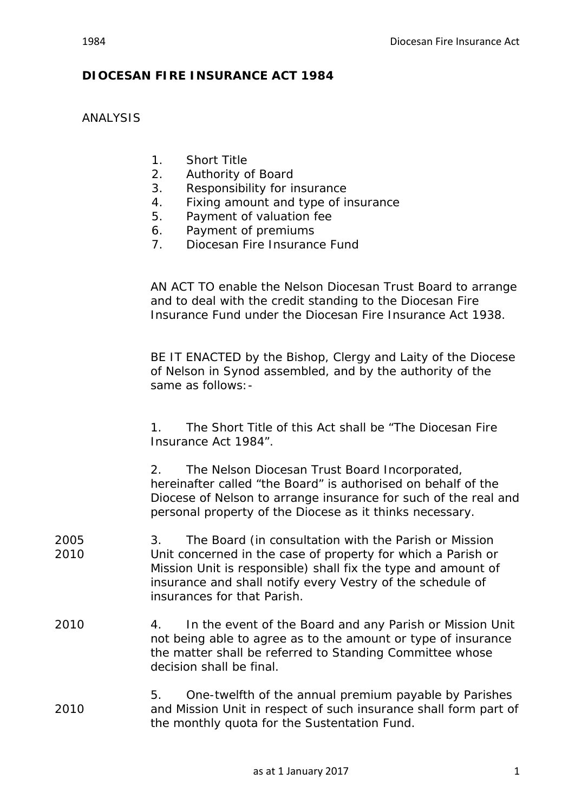## **DIOCESAN FIRE INSURANCE ACT 1984**

ANALYSIS

- 1. Short Title
- 2. Authority of Board
- 3. Responsibility for insurance
- 4. Fixing amount and type of insurance
- 5. Payment of valuation fee
- 6. Payment of premiums
- 7. Diocesan Fire Insurance Fund

AN ACT TO enable the Nelson Diocesan Trust Board to arrange and to deal with the credit standing to the Diocesan Fire Insurance Fund under the Diocesan Fire Insurance Act 1938.

BE IT ENACTED by the Bishop, Clergy and Laity of the Diocese of Nelson in Synod assembled, and by the authority of the same as follows:-

1. The Short Title of this Act shall be "The Diocesan Fire Insurance Act 1984".

2. The Nelson Diocesan Trust Board Incorporated, hereinafter called "the Board" is authorised on behalf of the Diocese of Nelson to arrange insurance for such of the real and personal property of the Diocese as it thinks necessary.

- 2005 3. The Board (in consultation with the Parish or Mission 2010 Unit concerned in the case of property for which a Parish or Mission Unit is responsible) shall fix the type and amount of insurance and shall notify every Vestry of the schedule of insurances for that Parish.
- 2010 4. In the event of the Board and any Parish or Mission Unit not being able to agree as to the amount or type of insurance the matter shall be referred to Standing Committee whose decision shall be final.
- 5. One-twelfth of the annual premium payable by Parishes 2010 and Mission Unit in respect of such insurance shall form part of the monthly quota for the Sustentation Fund.